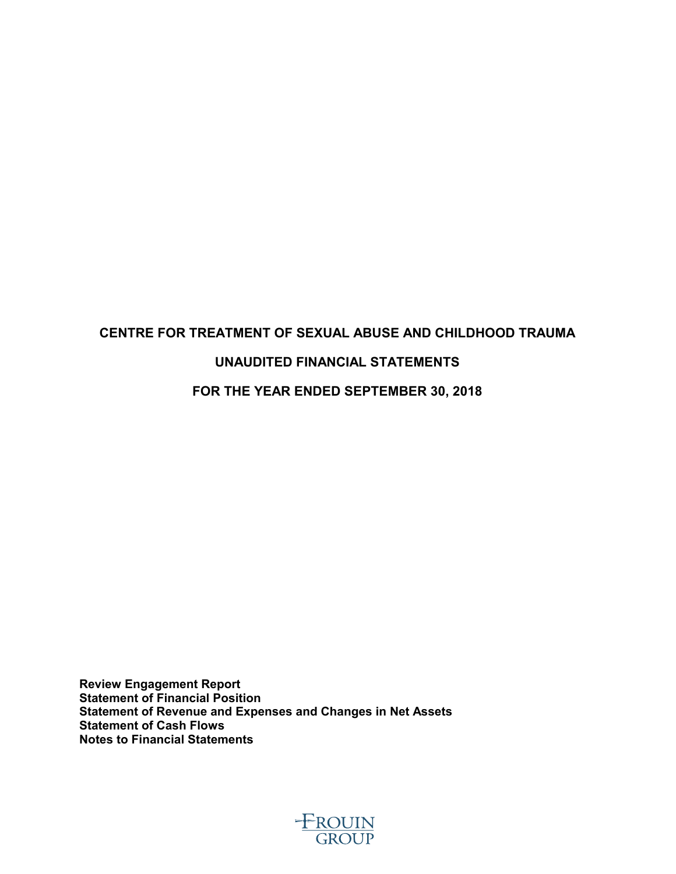# **CENTRE FOR TREATMENT OF SEXUAL ABUSE AND CHILDHOOD TRAUMA UNAUDITED FINANCIAL STATEMENTS FOR THE YEAR ENDED SEPTEMBER 30, 2018**

**Review Engagement Report Statement of Financial Position Statement of Revenue and Expenses and Changes in Net Assets Statement of Cash Flows**

**Notes to Financial Statements**

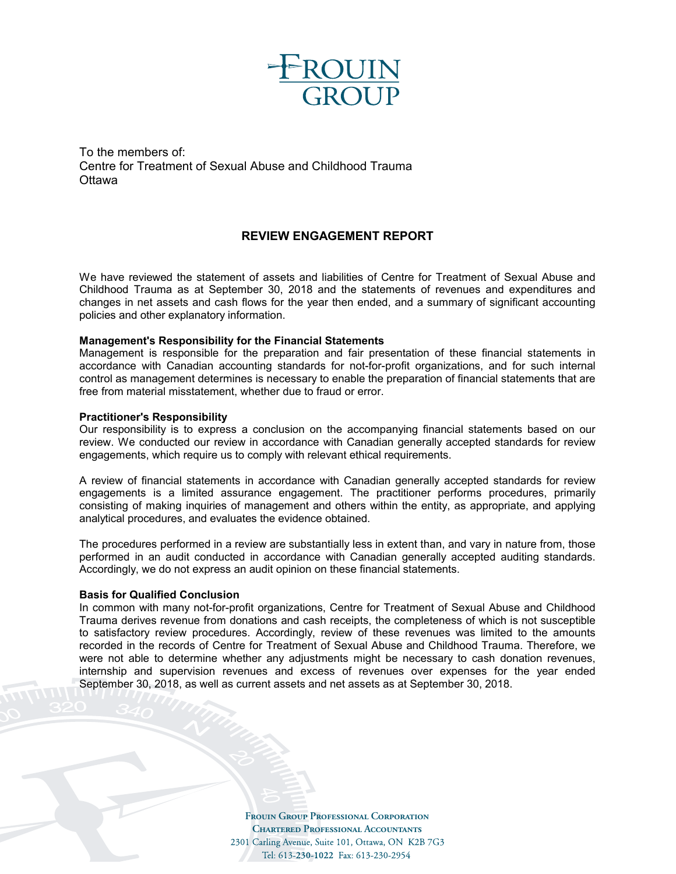

To the members of: Centre for Treatment of Sexual Abuse and Childhood Trauma **Ottawa** 

#### **REVIEW ENGAGEMENT REPORT**

We have reviewed the statement of assets and liabilities of Centre for Treatment of Sexual Abuse and Childhood Trauma as at September 30, 2018 and the statements of revenues and expenditures and changes in net assets and cash flows for the year then ended, and a summary of significant accounting policies and other explanatory information.

#### **Management's Responsibility for the Financial Statements**

Management is responsible for the preparation and fair presentation of these financial statements in accordance with Canadian accounting standards for not-for-profit organizations, and for such internal control as management determines is necessary to enable the preparation of financial statements that are free from material misstatement, whether due to fraud or error.

#### **Practitioner's Responsibility**

Our responsibility is to express a conclusion on the accompanying financial statements based on our review. We conducted our review in accordance with Canadian generally accepted standards for review engagements, which require us to comply with relevant ethical requirements.

A review of financial statements in accordance with Canadian generally accepted standards for review engagements is a limited assurance engagement. The practitioner performs procedures, primarily consisting of making inquiries of management and others within the entity, as appropriate, and applying analytical procedures, and evaluates the evidence obtained.

The procedures performed in a review are substantially less in extent than, and vary in nature from, those performed in an audit conducted in accordance with Canadian generally accepted auditing standards. Accordingly, we do not express an audit opinion on these financial statements.

#### **Basis for Qualified Conclusion**

In common with many not-for-profit organizations, Centre for Treatment of Sexual Abuse and Childhood Trauma derives revenue from donations and cash receipts, the completeness of which is not susceptible to satisfactory review procedures. Accordingly, review of these revenues was limited to the amounts recorded in the records of Centre for Treatment of Sexual Abuse and Childhood Trauma. Therefore, we were not able to determine whether any adjustments might be necessary to cash donation revenues, internship and supervision revenues and excess of revenues over expenses for the year ended September 30, 2018, as well as current assets and net assets as at September 30, 2018.

> **Frouin Group Professional Corporation Chartered Professional Accountants** 2301 Carling Avenue, Suite 101, Ottawa, ON K2B 7G3 Tel: 613-230-1022 Fax: 613-230-2954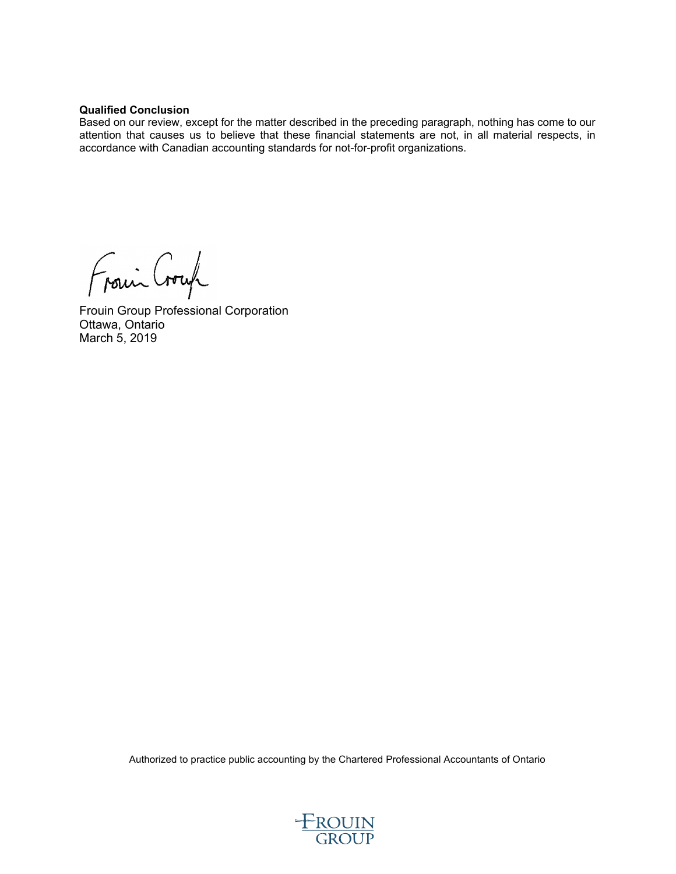#### **Qualified Conclusion**

Based on our review, except for the matter described in the preceding paragraph, nothing has come to our attention that causes us to believe that these financial statements are not, in all material respects, in accordance with Canadian accounting standards for not-for-profit organizations.

Frain Croup

Frouin Group Professional Corporation Ottawa, Ontario March 5, 2019

Authorized to practice public accounting by the Chartered Professional Accountants of Ontario

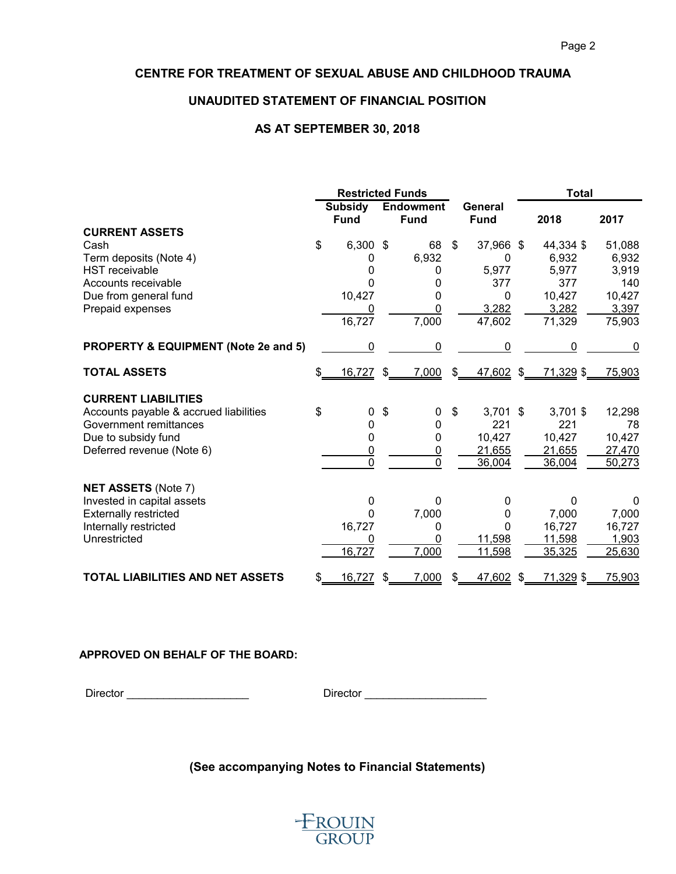### **UNAUDITED STATEMENT OF FINANCIAL POSITION**

#### **AS AT SEPTEMBER 30, 2018**

|                                                 | <b>Restricted Funds</b> |                               |                           |                                 |              | <b>Total</b>           |               |            |          |
|-------------------------------------------------|-------------------------|-------------------------------|---------------------------|---------------------------------|--------------|------------------------|---------------|------------|----------|
|                                                 |                         | <b>Subsidy</b><br><b>Fund</b> |                           | <b>Endowment</b><br><b>Fund</b> |              | General<br><b>Fund</b> |               | 2018       | 2017     |
| <b>CURRENT ASSETS</b>                           |                         |                               |                           |                                 |              |                        |               |            |          |
| Cash                                            | \$                      | 6,300                         | -\$                       | 68                              | \$           | 37,966 \$              |               | 44,334 \$  | 51,088   |
| Term deposits (Note 4)                          |                         | 0                             |                           | 6,932                           |              | 0                      |               | 6,932      | 6,932    |
| <b>HST</b> receivable                           |                         | 0                             |                           | 0                               |              | 5,977                  |               | 5,977      | 3,919    |
| Accounts receivable                             |                         | 0                             |                           | 0                               |              | 377                    |               | 377        | 140      |
| Due from general fund                           |                         | 10,427                        |                           | 0                               |              | 0                      |               | 10,427     | 10,427   |
| Prepaid expenses                                |                         | 0                             |                           | 0                               |              | 3,282                  |               | 3,282      | 3,397    |
|                                                 |                         | 16,727                        |                           | 7,000                           |              | 47,602                 |               | 71,329     | 75,903   |
| <b>PROPERTY &amp; EQUIPMENT (Note 2e and 5)</b> |                         | 0                             |                           | 0                               |              | 0                      |               | 0          | 0        |
| <b>TOTAL ASSETS</b>                             | \$                      | 16,727                        | $\boldsymbol{\mathsf{s}}$ | 7,000                           | $\mathbb{S}$ | 47,602                 | $\mathcal{L}$ | 71,329 \$  | 75,903   |
| <b>CURRENT LIABILITIES</b>                      |                         |                               |                           |                                 |              |                        |               |            |          |
| Accounts payable & accrued liabilities          | \$                      | 0                             | \$                        | 0                               | \$           | $3,701$ \$             |               | $3,701$ \$ | 12,298   |
| Government remittances                          |                         | 0                             |                           | 0                               |              | 221                    |               | 221        | 78       |
| Due to subsidy fund                             |                         | 0                             |                           | 0                               |              | 10,427                 |               | 10,427     | 10,427   |
| Deferred revenue (Note 6)                       |                         | $\overline{0}$                |                           | <u>0</u>                        |              | 21,655                 |               | 21,655     | 27,470   |
|                                                 |                         | $\overline{0}$                |                           | $\overline{0}$                  |              | 36,004                 |               | 36,004     | 50,273   |
| <b>NET ASSETS (Note 7)</b>                      |                         |                               |                           |                                 |              |                        |               |            |          |
| Invested in capital assets                      |                         | 0                             |                           | 0                               |              | 0                      |               | 0          | $\Omega$ |
| <b>Externally restricted</b>                    |                         | 0                             |                           | 7,000                           |              | 0                      |               | 7,000      | 7,000    |
| Internally restricted                           |                         | 16,727                        |                           | 0                               |              | $\Omega$               |               | 16,727     | 16,727   |
| Unrestricted                                    |                         | 0                             |                           | 0                               |              | 11,598                 |               | 11,598     | 1,903    |
|                                                 |                         | 16,727                        |                           | 7,000                           |              | 11,598                 |               | 35,325     | 25,630   |
| <b>TOTAL LIABILITIES AND NET ASSETS</b>         | \$                      | 16,727                        | \$                        | 7,000                           | \$           | 47,602 \$              |               | 71,329 \$  | 75,903   |

#### **APPROVED ON BEHALF OF THE BOARD:**

Director \_\_\_\_\_\_\_\_\_\_\_\_\_\_\_\_\_\_\_\_ Director \_\_\_\_\_\_\_\_\_\_\_\_\_\_\_\_\_\_\_\_

# **(See accompanying Notes to Financial Statements)**

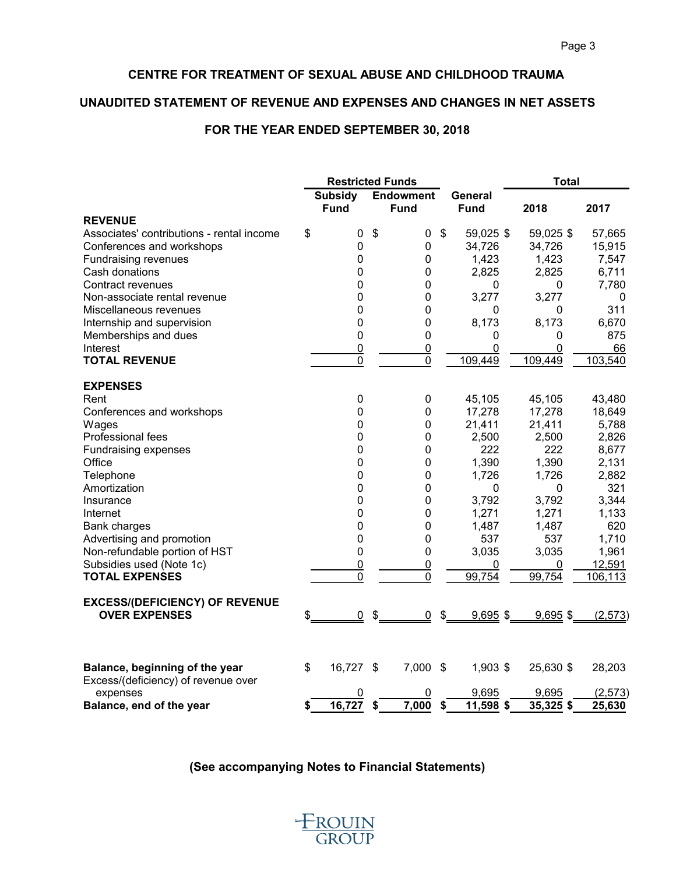### **UNAUDITED STATEMENT OF REVENUE AND EXPENSES AND CHANGES IN NET ASSETS**

## **FOR THE YEAR ENDED SEPTEMBER 30, 2018**

|                                                               |                               | <b>Restricted Funds</b>         |                                       | <b>Total</b> |              |
|---------------------------------------------------------------|-------------------------------|---------------------------------|---------------------------------------|--------------|--------------|
|                                                               | <b>Subsidy</b><br><b>Fund</b> | <b>Endowment</b><br><b>Fund</b> | General<br><b>Fund</b>                | 2018         | 2017         |
| <b>REVENUE</b>                                                |                               |                                 |                                       |              |              |
| Associates' contributions - rental income                     | \$<br>0                       | \$<br>0                         | \$<br>59,025 \$                       | 59,025 \$    | 57,665       |
| Conferences and workshops                                     | $\mathbf 0$                   | 0                               | 34,726                                | 34,726       | 15,915       |
| <b>Fundraising revenues</b><br>Cash donations                 | $\mathbf 0$                   | $\pmb{0}$<br>0                  | 1,423                                 | 1,423        | 7,547        |
| Contract revenues                                             | 0                             |                                 | 2,825                                 | 2,825        | 6,711        |
|                                                               | 0<br>0                        | 0<br>0                          | 0                                     | 0            | 7,780        |
| Non-associate rental revenue<br>Miscellaneous revenues        | $\mathbf 0$                   |                                 | 3,277                                 | 3,277<br>0   | 0<br>311     |
|                                                               |                               | 0<br>0                          | 0                                     |              |              |
| Internship and supervision                                    | 0<br>$\mathbf 0$              |                                 | 8,173                                 | 8,173        | 6,670<br>875 |
| Memberships and dues                                          |                               | 0                               | 0                                     | 0            |              |
| Interest<br><b>TOTAL REVENUE</b>                              | $\overline{0}$                | $\overline{0}$<br>0             | $\mathbf 0$                           | 0<br>109,449 | 66           |
|                                                               | $\boldsymbol{0}$              |                                 | 109,449                               |              | 103,540      |
| <b>EXPENSES</b>                                               |                               |                                 |                                       |              |              |
| Rent                                                          | $\pmb{0}$                     | 0                               | 45,105                                | 45,105       | 43,480       |
| Conferences and workshops                                     | $\mathbf 0$                   | $\pmb{0}$                       | 17,278                                | 17,278       | 18,649       |
| Wages                                                         | 0                             | $\pmb{0}$                       | 21,411                                | 21,411       | 5,788        |
| Professional fees                                             | 0                             | 0                               | 2,500                                 | 2,500        | 2,826        |
| Fundraising expenses                                          | 0                             | 0                               | 222                                   | 222          | 8,677        |
| Office                                                        | $\mathbf 0$                   | $\mathbf 0$                     | 1,390                                 | 1,390        | 2,131        |
| Telephone                                                     | 0                             | 0                               | 1,726                                 | 1,726        | 2,882        |
| Amortization                                                  | 0                             | 0                               | 0                                     | 0            | 321          |
| Insurance                                                     | 0                             | 0                               | 3,792                                 | 3,792        | 3,344        |
| Internet                                                      | 0                             | 0                               | 1,271                                 | 1,271        | 1,133        |
| <b>Bank charges</b>                                           | 0                             | 0                               | 1,487                                 | 1,487        | 620          |
| Advertising and promotion                                     | 0                             | 0                               | 537                                   | 537          | 1,710        |
| Non-refundable portion of HST                                 | 0                             | 0                               | 3,035                                 | 3,035        | 1,961        |
| Subsidies used (Note 1c)                                      | $\overline{0}$                | $\overline{0}$                  | $\overline{0}$                        | 0            | 12,591       |
| <b>TOTAL EXPENSES</b>                                         | $\mathbf 0$                   | 0                               | 99,754                                | 99,754       | 106,113      |
|                                                               |                               |                                 |                                       |              |              |
| <b>EXCESS/(DEFICIENCY) OF REVENUE</b><br><b>OVER EXPENSES</b> | 0<br>\$                       | \$<br>0                         | $\frac{1}{2}$<br>$9,695$ \$           | $9,695$ \$   | (2,573)      |
|                                                               |                               |                                 |                                       |              |              |
| Balance, beginning of the year                                | \$<br>16,727 \$               | 7,000                           | 1,903 \$<br>$\boldsymbol{\mathsf{S}}$ | 25,630 \$    | 28,203       |
| Excess/(deficiency) of revenue over<br>expenses               | 0                             | 0                               | 9,695                                 | 9,695        | (2,573)      |
| Balance, end of the year                                      | 16,727<br>\$                  | 7,000<br>\$                     | 11,598 \$<br>\$                       | $35,325$ \$  | 25,630       |

**(See accompanying Notes to Financial Statements)**

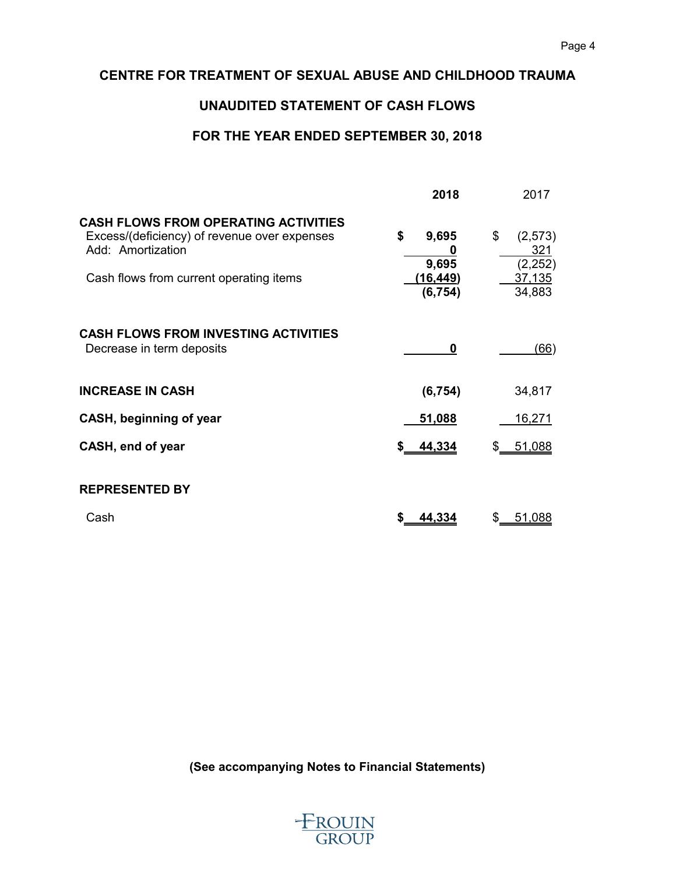# **UNAUDITED STATEMENT OF CASH FLOWS**

# **FOR THE YEAR ENDED SEPTEMBER 30, 2018**

|                                                                                                                                                             | 2018                                              | 2017                                                  |
|-------------------------------------------------------------------------------------------------------------------------------------------------------------|---------------------------------------------------|-------------------------------------------------------|
| <b>CASH FLOWS FROM OPERATING ACTIVITIES</b><br>Excess/(deficiency) of revenue over expenses<br>Add: Amortization<br>Cash flows from current operating items | \$<br>9,695<br>O<br>9,695<br>(16,449)<br>(6, 754) | \$<br>(2, 573)<br>321<br>(2, 252)<br>37,135<br>34,883 |
| <b>CASH FLOWS FROM INVESTING ACTIVITIES</b><br>Decrease in term deposits                                                                                    | 0                                                 | (66)                                                  |
| <b>INCREASE IN CASH</b>                                                                                                                                     | (6, 754)                                          | 34,817                                                |
| CASH, beginning of year                                                                                                                                     | 51,088                                            | <u>16,271</u>                                         |
| CASH, end of year                                                                                                                                           | 44,334<br>S                                       | 51,088                                                |
| <b>REPRESENTED BY</b>                                                                                                                                       |                                                   |                                                       |
| Cash                                                                                                                                                        | 44,334<br>S                                       | 51,088<br>\$.                                         |

**(See accompanying Notes to Financial Statements)**

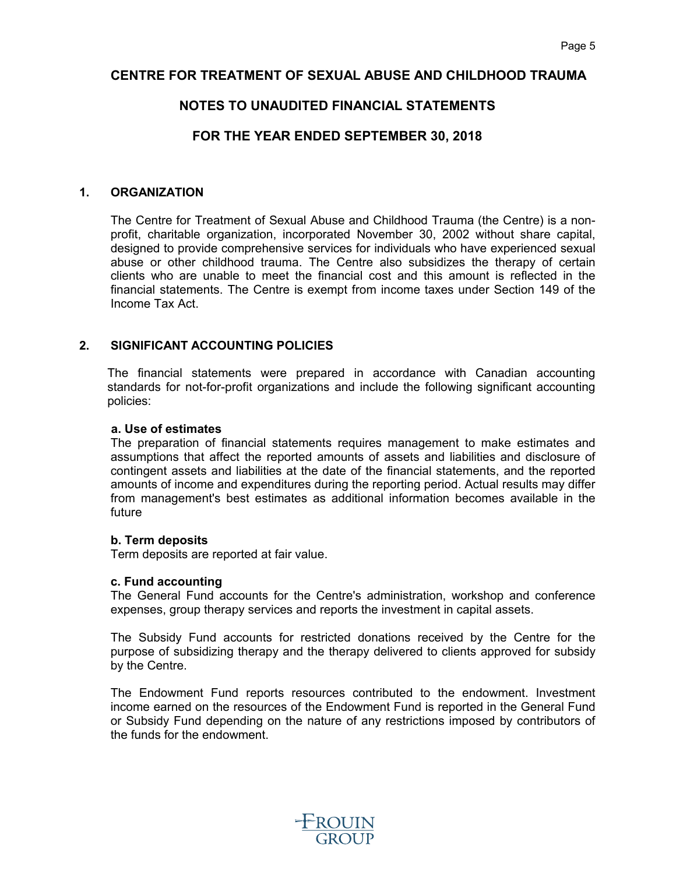# **NOTES TO UNAUDITED FINANCIAL STATEMENTS**

# **FOR THE YEAR ENDED SEPTEMBER 30, 2018**

#### **1. ORGANIZATION**

The Centre for Treatment of Sexual Abuse and Childhood Trauma (the Centre) is a nonprofit, charitable organization, incorporated November 30, 2002 without share capital, designed to provide comprehensive services for individuals who have experienced sexual abuse or other childhood trauma. The Centre also subsidizes the therapy of certain clients who are unable to meet the financial cost and this amount is reflected in the financial statements. The Centre is exempt from income taxes under Section 149 of the Income Tax Act.

#### **2. SIGNIFICANT ACCOUNTING POLICIES**

The financial statements were prepared in accordance with Canadian accounting standards for not-for-profit organizations and include the following significant accounting policies:

#### **a. Use of estimates**

The preparation of financial statements requires management to make estimates and assumptions that affect the reported amounts of assets and liabilities and disclosure of contingent assets and liabilities at the date of the financial statements, and the reported amounts of income and expenditures during the reporting period. Actual results may differ from management's best estimates as additional information becomes available in the future

#### **b. Term deposits**

Term deposits are reported at fair value.

#### **c. Fund accounting**

The General Fund accounts for the Centre's administration, workshop and conference expenses, group therapy services and reports the investment in capital assets.

The Subsidy Fund accounts for restricted donations received by the Centre for the purpose of subsidizing therapy and the therapy delivered to clients approved for subsidy by the Centre.

The Endowment Fund reports resources contributed to the endowment. Investment income earned on the resources of the Endowment Fund is reported in the General Fund or Subsidy Fund depending on the nature of any restrictions imposed by contributors of the funds for the endowment.

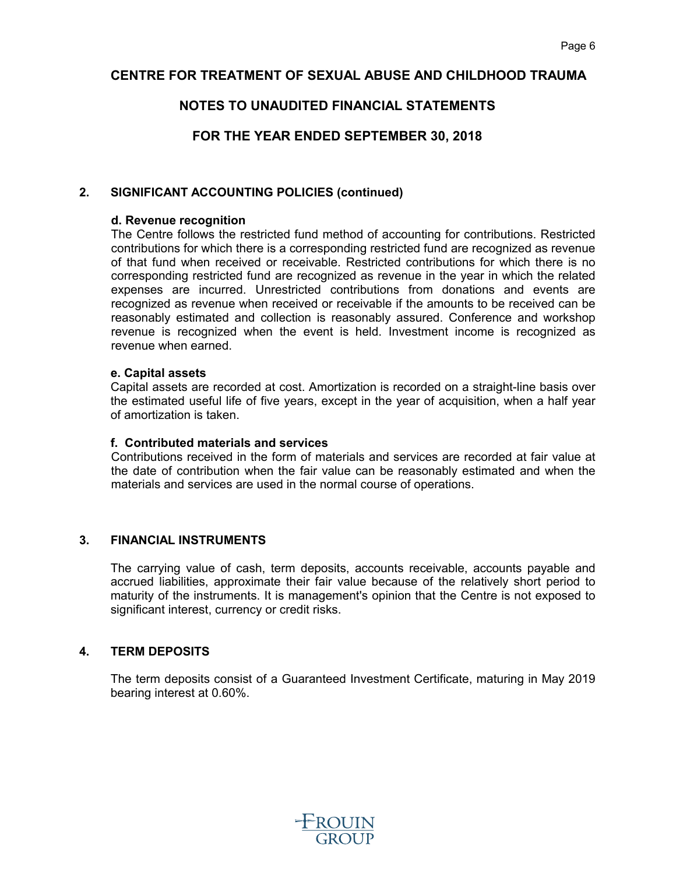# **NOTES TO UNAUDITED FINANCIAL STATEMENTS**

# **FOR THE YEAR ENDED SEPTEMBER 30, 2018**

### **2. SIGNIFICANT ACCOUNTING POLICIES (continued)**

#### **d. Revenue recognition**

The Centre follows the restricted fund method of accounting for contributions. Restricted contributions for which there is a corresponding restricted fund are recognized as revenue of that fund when received or receivable. Restricted contributions for which there is no corresponding restricted fund are recognized as revenue in the year in which the related expenses are incurred. Unrestricted contributions from donations and events are recognized as revenue when received or receivable if the amounts to be received can be reasonably estimated and collection is reasonably assured. Conference and workshop revenue is recognized when the event is held. Investment income is recognized as revenue when earned.

#### **e. Capital assets**

Capital assets are recorded at cost. Amortization is recorded on a straight-line basis over the estimated useful life of five years, except in the year of acquisition, when a half year of amortization is taken.

#### **f. Contributed materials and services**

Contributions received in the form of materials and services are recorded at fair value at the date of contribution when the fair value can be reasonably estimated and when the materials and services are used in the normal course of operations.

### **3. FINANCIAL INSTRUMENTS**

The carrying value of cash, term deposits, accounts receivable, accounts payable and accrued liabilities, approximate their fair value because of the relatively short period to maturity of the instruments. It is management's opinion that the Centre is not exposed to significant interest, currency or credit risks.

#### **4. TERM DEPOSITS**

The term deposits consist of a Guaranteed Investment Certificate, maturing in May 2019 bearing interest at 0.60%.

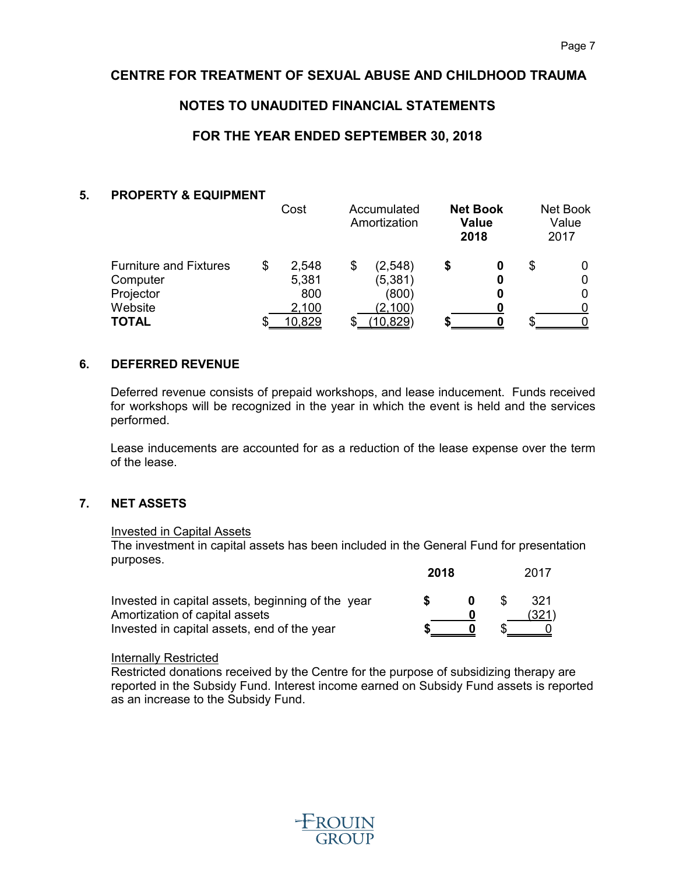# **NOTES TO UNAUDITED FINANCIAL STATEMENTS**

# **FOR THE YEAR ENDED SEPTEMBER 30, 2018**

#### **5. PROPERTY & EQUIPMENT**

|                                           | Cost                 | Accumulated<br>Amortization |   | <b>Net Book</b><br><b>Value</b><br>2018 |   | Net Book<br>Value<br>2017 |
|-------------------------------------------|----------------------|-----------------------------|---|-----------------------------------------|---|---------------------------|
| <b>Furniture and Fixtures</b><br>Computer | \$<br>2,548<br>5,381 | \$<br>(2,548)<br>(5, 381)   | S | 0<br>0                                  | S | 0<br>0                    |
| Projector                                 | 800                  | (800)                       |   | 0                                       |   | 0                         |
| Website                                   | 2,100                | (2,100)                     |   |                                         |   |                           |
| <b>TOTAL</b>                              | 10,829               | 10,829)                     |   |                                         |   |                           |

#### **6. DEFERRED REVENUE**

Deferred revenue consists of prepaid workshops, and lease inducement. Funds received for workshops will be recognized in the year in which the event is held and the services performed.

Lease inducements are accounted for as a reduction of the lease expense over the term of the lease.

# **7. NET ASSETS**

#### **Invested in Capital Assets**

The investment in capital assets has been included in the General Fund for presentation purposes. **2018** 2017

|                                                   | 20 I O |  |  |       |
|---------------------------------------------------|--------|--|--|-------|
| Invested in capital assets, beginning of the year |        |  |  | 321   |
| Amortization of capital assets                    |        |  |  | (321) |
| Invested in capital assets, end of the year       |        |  |  |       |

#### Internally Restricted

Restricted donations received by the Centre for the purpose of subsidizing therapy are reported in the Subsidy Fund. Interest income earned on Subsidy Fund assets is reported as an increase to the Subsidy Fund.

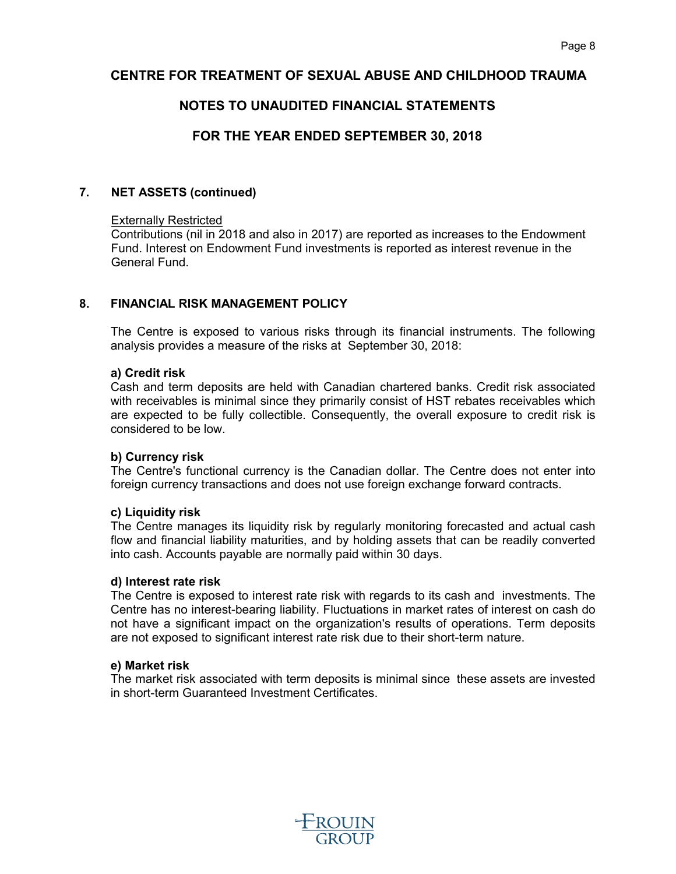# **NOTES TO UNAUDITED FINANCIAL STATEMENTS**

# **FOR THE YEAR ENDED SEPTEMBER 30, 2018**

#### **7. NET ASSETS (continued)**

#### Externally Restricted

Contributions (nil in 2018 and also in 2017) are reported as increases to the Endowment Fund. Interest on Endowment Fund investments is reported as interest revenue in the General Fund.

#### **8. FINANCIAL RISK MANAGEMENT POLICY**

The Centre is exposed to various risks through its financial instruments. The following analysis provides a measure of the risks at September 30, 2018:

#### **a) Credit risk**

Cash and term deposits are held with Canadian chartered banks. Credit risk associated with receivables is minimal since they primarily consist of HST rebates receivables which are expected to be fully collectible. Consequently, the overall exposure to credit risk is considered to be low.

#### **b) Currency risk**

The Centre's functional currency is the Canadian dollar. The Centre does not enter into foreign currency transactions and does not use foreign exchange forward contracts.

#### **c) Liquidity risk**

The Centre manages its liquidity risk by regularly monitoring forecasted and actual cash flow and financial liability maturities, and by holding assets that can be readily converted into cash. Accounts payable are normally paid within 30 days.

#### **d) Interest rate risk**

The Centre is exposed to interest rate risk with regards to its cash and investments. The Centre has no interest-bearing liability. Fluctuations in market rates of interest on cash do not have a significant impact on the organization's results of operations. Term deposits are not exposed to significant interest rate risk due to their short-term nature.

#### **e) Market risk**

The market risk associated with term deposits is minimal since these assets are invested in short-term Guaranteed Investment Certificates.